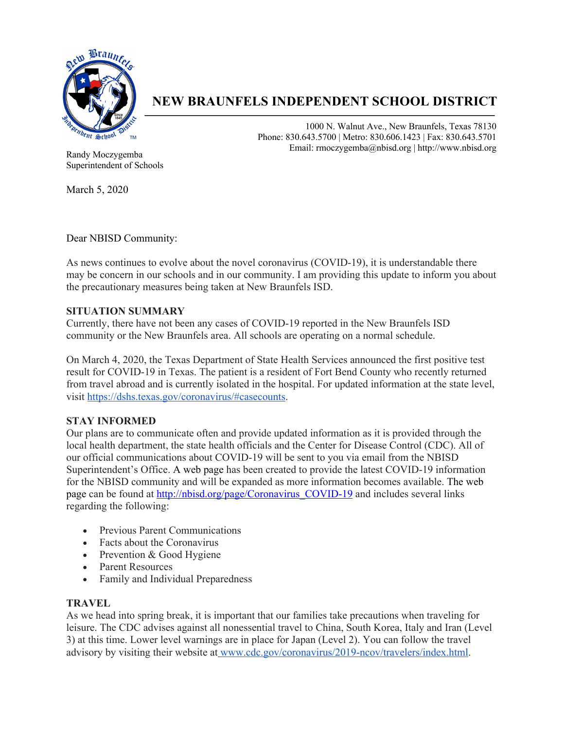

# **NEW BRAUNFELS INDEPENDENT SCHOOL DISTRICT**

1000 N. Walnut Ave., New Braunfels, Texas 78130 Phone: 830.643.5700 | Metro: 830.606.1423 | Fax: 830.643.5701 Email: rmoczygemba@nbisd.org | http://www.nbisd.org

Randy Moczygemba Superintendent of Schools

March 5, 2020

Dear NBISD Community:

As news continues to evolve about the novel coronavirus (COVID-19), it is understandable there may be concern in our schools and in our community. I am providing this update to inform you about the precautionary measures being taken at New Braunfels ISD.

### **SITUATION SUMMARY**

Currently, there have not been any cases of COVID-19 reported in the New Braunfels ISD community or the New Braunfels area. All schools are operating on a normal schedule.

On March 4, 2020, the Texas Department of State Health Services announced the first positive test result for COVID-19 in Texas. The patient is a resident of Fort Bend County who recently returned from travel abroad and is currently isolated in the hospital. For updated information at the state level, visit https://dshs.texas.gov/coronavirus/#casecounts.

# **STAY INFORMED**

Our plans are to communicate often and provide updated information as it is provided through the local health department, the state health officials and the Center for Disease Control (CDC). All of our official communications about COVID-19 will be sent to you via email from the NBISD Superintendent's Office. A web page has been created to provide the latest COVID-19 information for the NBISD community and will be expanded as more information becomes available. The web page can be found at http://nbisd.org/page/Coronavirus\_COVID-19 and includes several links regarding the following:

- Previous Parent Communications
- Facts about the Coronavirus
- Prevention & Good Hygiene
- Parent Resources
- Family and Individual Preparedness

#### **TRAVEL**

As we head into spring break, it is important that our families take precautions when traveling for leisure. The CDC advises against all nonessential travel to China, South Korea, Italy and Iran (Level 3) at this time. Lower level warnings are in place for Japan (Level 2). You can follow the travel advisory by visiting their website at www.cdc.gov/coronavirus/2019-ncov/travelers/index.html.